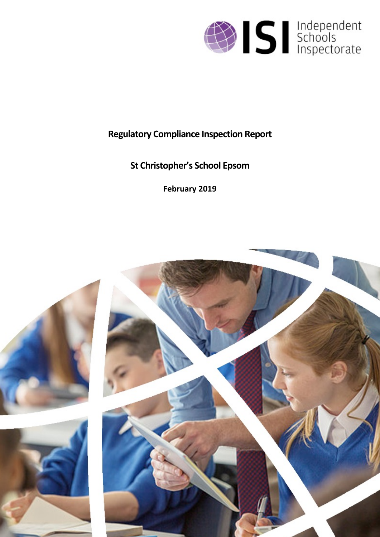

# **Regulatory Compliance Inspection Report**

# **St Christopher's School Epsom**

**February 2019**

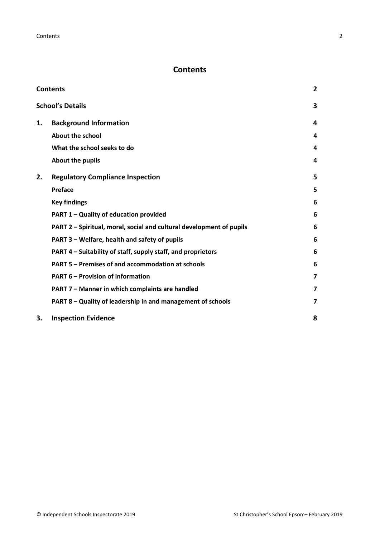## <span id="page-1-0"></span>**Contents**

| <b>Contents</b> |                                                                      | $\overline{2}$          |
|-----------------|----------------------------------------------------------------------|-------------------------|
|                 | <b>School's Details</b>                                              | 3                       |
| 1.              | <b>Background Information</b>                                        | 4                       |
|                 | <b>About the school</b>                                              | 4                       |
|                 | What the school seeks to do                                          | 4                       |
|                 | About the pupils                                                     | 4                       |
| 2.              | <b>Regulatory Compliance Inspection</b>                              | 5                       |
|                 | <b>Preface</b>                                                       | 5                       |
|                 | <b>Key findings</b>                                                  | 6                       |
|                 | PART 1 - Quality of education provided                               | 6                       |
|                 | PART 2 - Spiritual, moral, social and cultural development of pupils | 6                       |
|                 | PART 3 – Welfare, health and safety of pupils                        | 6                       |
|                 | PART 4 – Suitability of staff, supply staff, and proprietors         | 6                       |
|                 | PART 5 - Premises of and accommodation at schools                    | 6                       |
|                 | <b>PART 6 - Provision of information</b>                             | $\overline{\mathbf{z}}$ |
|                 | PART 7 - Manner in which complaints are handled                      | $\overline{\mathbf{z}}$ |
|                 | PART 8 - Quality of leadership in and management of schools          | 7                       |
| 3.              | <b>Inspection Evidence</b>                                           | 8                       |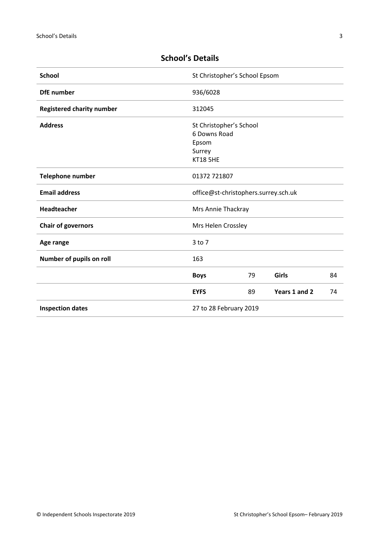| <b>School</b>                    |                                    | St Christopher's School Epsom           |               |    |  |
|----------------------------------|------------------------------------|-----------------------------------------|---------------|----|--|
| <b>DfE</b> number                | 936/6028                           |                                         |               |    |  |
| <b>Registered charity number</b> | 312045                             |                                         |               |    |  |
| <b>Address</b>                   | Epsom<br>Surrey<br><b>KT18 5HE</b> | St Christopher's School<br>6 Downs Road |               |    |  |
| Telephone number                 |                                    | 01372 721807                            |               |    |  |
| <b>Email address</b>             |                                    | office@st-christophers.surrey.sch.uk    |               |    |  |
| Headteacher                      |                                    | Mrs Annie Thackray                      |               |    |  |
| <b>Chair of governors</b>        |                                    | Mrs Helen Crossley                      |               |    |  |
| Age range                        | 3 to 7                             |                                         |               |    |  |
| Number of pupils on roll         | 163                                |                                         |               |    |  |
|                                  | <b>Boys</b>                        | 79                                      | <b>Girls</b>  | 84 |  |
|                                  | <b>EYFS</b>                        | 89                                      | Years 1 and 2 | 74 |  |
| <b>Inspection dates</b>          |                                    | 27 to 28 February 2019                  |               |    |  |

## <span id="page-2-0"></span>**School's Details**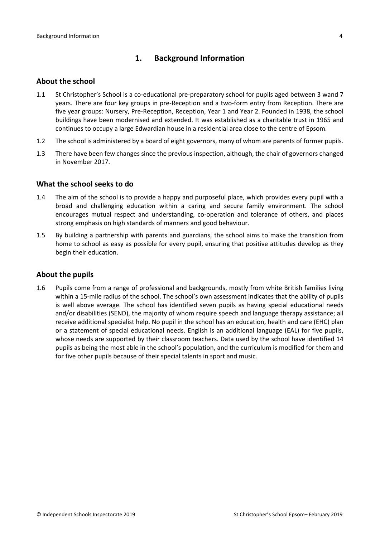## <span id="page-3-0"></span>**1. Background Information**

#### <span id="page-3-1"></span>**About the school**

- 1.1 St Christopher's School is a co-educational pre-preparatory school for pupils aged between 3 wand 7 years. There are four key groups in pre-Reception and a two-form entry from Reception. There are five year groups: Nursery, Pre-Reception, Reception, Year 1 and Year 2. Founded in 1938, the school buildings have been modernised and extended. It was established as a charitable trust in 1965 and continues to occupy a large Edwardian house in a residential area close to the centre of Epsom.
- 1.2 The school is administered by a board of eight governors, many of whom are parents of former pupils.
- 1.3 There have been few changes since the previous inspection, although, the chair of governors changed in November 2017.

#### <span id="page-3-2"></span>**What the school seeks to do**

- 1.4 The aim of the school is to provide a happy and purposeful place, which provides every pupil with a broad and challenging education within a caring and secure family environment. The school encourages mutual respect and understanding, co-operation and tolerance of others, and places strong emphasis on high standards of manners and good behaviour.
- 1.5 By building a partnership with parents and guardians, the school aims to make the transition from home to school as easy as possible for every pupil, ensuring that positive attitudes develop as they begin their education.

#### <span id="page-3-3"></span>**About the pupils**

1.6 Pupils come from a range of professional and backgrounds, mostly from white British families living within a 15-mile radius of the school. The school's own assessment indicates that the ability of pupils is well above average. The school has identified seven pupils as having special educational needs and/or disabilities (SEND), the majority of whom require speech and language therapy assistance; all receive additional specialist help. No pupil in the school has an education, health and care (EHC) plan or a statement of special educational needs. English is an additional language (EAL) for five pupils, whose needs are supported by their classroom teachers. Data used by the school have identified 14 pupils as being the most able in the school's population, and the curriculum is modified for them and for five other pupils because of their special talents in sport and music.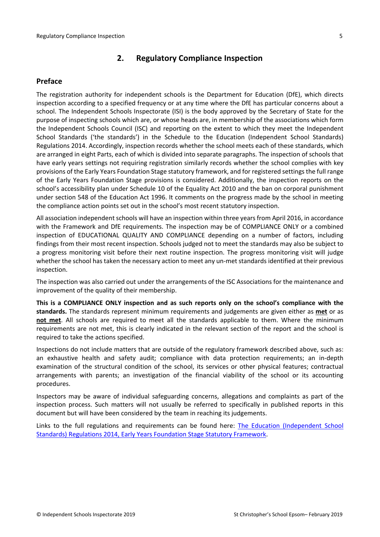## <span id="page-4-0"></span>**2. Regulatory Compliance Inspection**

#### <span id="page-4-1"></span>**Preface**

The registration authority for independent schools is the Department for Education (DfE), which directs inspection according to a specified frequency or at any time where the DfE has particular concerns about a school. The Independent Schools Inspectorate (ISI) is the body approved by the Secretary of State for the purpose of inspecting schools which are, or whose heads are, in membership of the associations which form the Independent Schools Council (ISC) and reporting on the extent to which they meet the Independent School Standards ('the standards') in the Schedule to the Education (Independent School Standards) Regulations 2014. Accordingly, inspection records whether the school meets each of these standards, which are arranged in eight Parts, each of which is divided into separate paragraphs. The inspection of schools that have early years settings not requiring registration similarly records whether the school complies with key provisions of the Early Years Foundation Stage statutory framework, and for registered settings the full range of the Early Years Foundation Stage provisions is considered. Additionally, the inspection reports on the school's accessibility plan under Schedule 10 of the Equality Act 2010 and the ban on corporal punishment under section 548 of the Education Act 1996. It comments on the progress made by the school in meeting the compliance action points set out in the school's most recent statutory inspection.

All association independent schools will have an inspection within three yearsfrom April 2016, in accordance with the Framework and DfE requirements. The inspection may be of COMPLIANCE ONLY or a combined inspection of EDUCATIONAL QUALITY AND COMPLIANCE depending on a number of factors, including findings from their most recent inspection. Schools judged not to meet the standards may also be subject to a progress monitoring visit before their next routine inspection. The progress monitoring visit will judge whether the school has taken the necessary action to meet any un-met standards identified at their previous inspection.

The inspection was also carried out under the arrangements of the ISC Associations for the maintenance and improvement of the quality of their membership.

**This is a COMPLIANCE ONLY inspection and as such reports only on the school's compliance with the standards.** The standards represent minimum requirements and judgements are given either as **met** or as **not met**. All schools are required to meet all the standards applicable to them. Where the minimum requirements are not met, this is clearly indicated in the relevant section of the report and the school is required to take the actions specified.

Inspections do not include matters that are outside of the regulatory framework described above, such as: an exhaustive health and safety audit; compliance with data protection requirements; an in-depth examination of the structural condition of the school, its services or other physical features; contractual arrangements with parents; an investigation of the financial viability of the school or its accounting procedures.

Inspectors may be aware of individual safeguarding concerns, allegations and complaints as part of the inspection process. Such matters will not usually be referred to specifically in published reports in this document but will have been considered by the team in reaching its judgements.

Links to the full regulations and requirements can be found here: The Education [\(Independent](http://www.legislation.gov.uk/uksi/2014/3283/contents/made) School Standards) [Regulations](http://www.legislation.gov.uk/uksi/2014/3283/contents/made) 2014, Early Years Foundation Stage Statutory [Framework.](https://www.gov.uk/government/publications/early-years-foundation-stage-framework--2)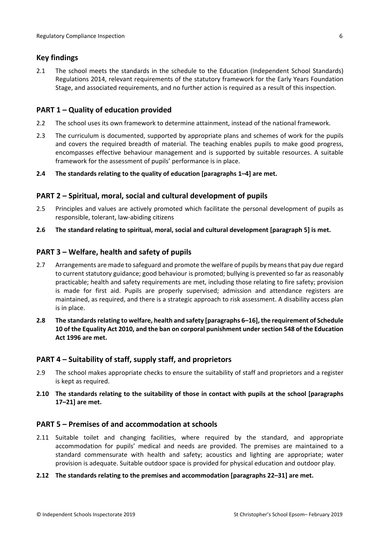### <span id="page-5-0"></span>**Key findings**

2.1 The school meets the standards in the schedule to the Education (Independent School Standards) Regulations 2014, relevant requirements of the statutory framework for the Early Years Foundation Stage, and associated requirements, and no further action is required as a result of this inspection.

#### <span id="page-5-1"></span>**PART 1 – Quality of education provided**

- 2.2 The school uses its own framework to determine attainment, instead of the national framework.
- 2.3 The curriculum is documented, supported by appropriate plans and schemes of work for the pupils and covers the required breadth of material. The teaching enables pupils to make good progress, encompasses effective behaviour management and is supported by suitable resources. A suitable framework for the assessment of pupils' performance is in place.

#### **2.4 The standards relating to the quality of education [paragraphs 1–4] are met.**

## <span id="page-5-2"></span>**PART 2 – Spiritual, moral, social and cultural development of pupils**

- 2.5 Principles and values are actively promoted which facilitate the personal development of pupils as responsible, tolerant, law-abiding citizens
- **2.6 The standard relating to spiritual, moral, social and cultural development [paragraph 5] is met.**

## <span id="page-5-3"></span>**PART 3 – Welfare, health and safety of pupils**

- 2.7 Arrangements are made to safeguard and promote the welfare of pupils by means that pay due regard to current statutory guidance; good behaviour is promoted; bullying is prevented so far as reasonably practicable; health and safety requirements are met, including those relating to fire safety; provision is made for first aid. Pupils are properly supervised; admission and attendance registers are maintained, as required, and there is a strategic approach to risk assessment. A disability access plan is in place.
- **2.8 The standardsrelating to welfare, health and safety [paragraphs 6–16], the requirement of Schedule 10 of the Equality Act 2010, and the ban on corporal punishment undersection 548 of the Education Act 1996 are met.**

#### <span id="page-5-4"></span>**PART 4 – Suitability of staff, supply staff, and proprietors**

- 2.9 The school makes appropriate checks to ensure the suitability of staff and proprietors and a register is kept as required.
- **2.10 The standards relating to the suitability of those in contact with pupils at the school [paragraphs 17–21] are met.**

#### <span id="page-5-5"></span>**PART 5 – Premises of and accommodation at schools**

- 2.11 Suitable toilet and changing facilities, where required by the standard, and appropriate accommodation for pupils' medical and needs are provided. The premises are maintained to a standard commensurate with health and safety; acoustics and lighting are appropriate; water provision is adequate. Suitable outdoor space is provided for physical education and outdoor play.
- **2.12 The standards relating to the premises and accommodation [paragraphs 22–31] are met.**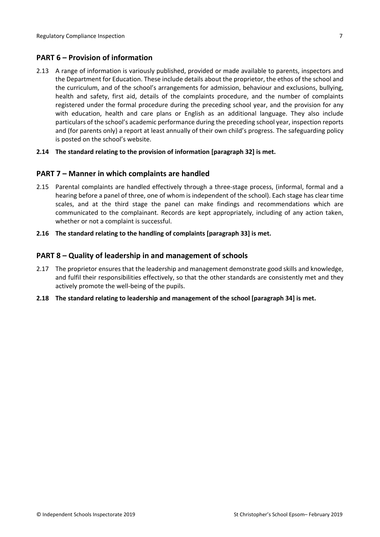## <span id="page-6-0"></span>**PART 6 – Provision of information**

2.13 A range of information is variously published, provided or made available to parents, inspectors and the Department for Education. These include details about the proprietor, the ethos of the school and the curriculum, and of the school's arrangements for admission, behaviour and exclusions, bullying, health and safety, first aid, details of the complaints procedure, and the number of complaints registered under the formal procedure during the preceding school year, and the provision for any with education, health and care plans or English as an additional language. They also include particulars of the school's academic performance during the preceding school year, inspection reports and (for parents only) a report at least annually of their own child's progress. The safeguarding policy is posted on the school's website.

#### **2.14 The standard relating to the provision of information [paragraph 32] is met.**

#### <span id="page-6-1"></span>**PART 7 – Manner in which complaints are handled**

- 2.15 Parental complaints are handled effectively through a three-stage process, (informal, formal and a hearing before a panel of three, one of whom is independent of the school). Each stage has clear time scales, and at the third stage the panel can make findings and recommendations which are communicated to the complainant. Records are kept appropriately, including of any action taken, whether or not a complaint is successful.
- **2.16 The standard relating to the handling of complaints [paragraph 33] is met.**

#### <span id="page-6-2"></span>**PART 8 – Quality of leadership in and management of schools**

- 2.17 The proprietor ensures that the leadership and management demonstrate good skills and knowledge, and fulfil their responsibilities effectively, so that the other standards are consistently met and they actively promote the well-being of the pupils.
- **2.18 The standard relating to leadership and management of the school [paragraph 34] is met.**